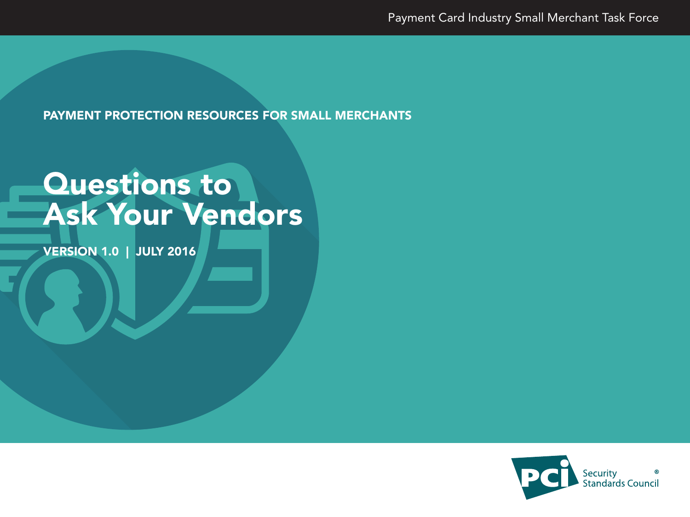PAYMENT PROTECTION RESOURCES FOR SMALL MERCHANTS

# Questions to Ask Your Vendors

VERSION 1.0 | JULY 2016

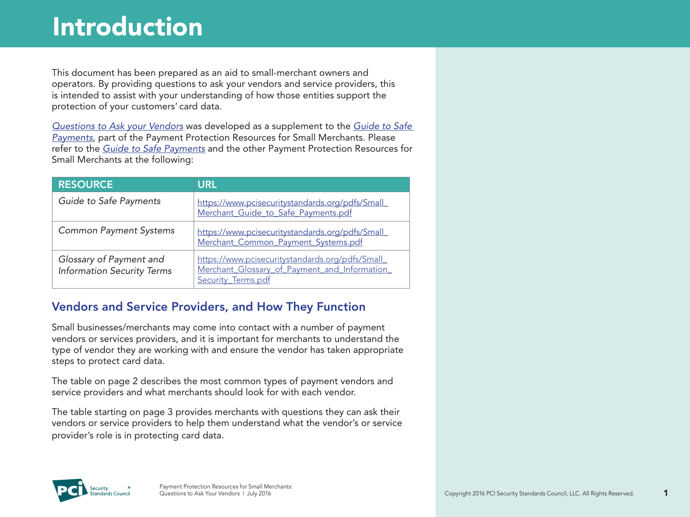This document has been prepared as an aid to small-merchant owners and operators. By providing questions to ask your vendors and service providers, this is intended to assist with your understanding of how those entities support the protection of your customers' card data.

*Questions to Ask your Vendors* was developed as a supplement to the *[Guide to Safe](https://www.pcisecuritystandards.org/pdfs/Small_Merchant_Guide_to_Safe_Payments.pdf)  [Payments](https://www.pcisecuritystandards.org/pdfs/Small_Merchant_Guide_to_Safe_Payments.pdf)*, part of the Payment Protection Resources for Small Merchants. Please refer to the *[Guide to Safe Payments](https://www.pcisecuritystandards.org/pdfs/Small_Merchant_Guide_to_Safe_Payments.pdf)* and the other Payment Protection Resources for Small Merchants at the following:

| <b>RESOURCE</b>                                              | <b>URL</b>                                                                                                            |
|--------------------------------------------------------------|-----------------------------------------------------------------------------------------------------------------------|
| Guide to Safe Payments                                       | https://www.pcisecuritystandards.org/pdfs/Small<br>Merchant Guide to Safe Payments.pdf                                |
| <b>Common Payment Systems</b>                                | https://www.pcisecuritystandards.org/pdfs/Small<br>Merchant_Common_Payment_Systems.pdf                                |
| Glossary of Payment and<br><b>Information Security Terms</b> | https://www.pcisecuritystandards.org/pdfs/Small<br>Merchant Glossary of Payment and Information<br>Security Terms.pdf |

#### Vendors and Service Providers, and How They Function

Small businesses/merchants may come into contact with a number of payment vendors or services providers, and it is important for merchants to understand the type of vendor they are working with and ensure the vendor has taken appropriate steps to protect card data.

The table on page 2 describes the most common types of payment vendors and service providers and what merchants should look for with each vendor.

The table starting on page 3 provides merchants with questions they can ask their vendors or service providers to help them understand what the vendor's or service provider's role is in protecting card data.

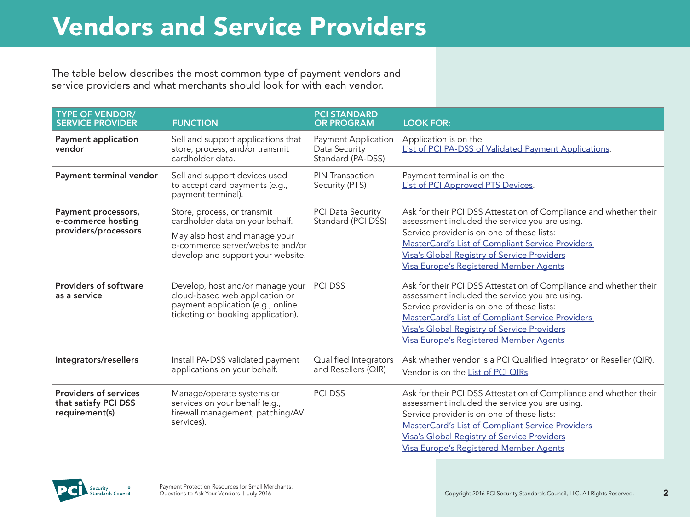## Vendors and Service Providers

The table below describes the most common type of payment vendors and service providers and what merchants should look for with each vendor.

| <b>TYPE OF VENDOR/</b><br><b>SERVICE PROVIDER</b>                      | <b>FUNCTION</b>                                                                                                                                                          | <b>PCI STANDARD</b><br><b>OR PROGRAM</b>                  | <b>LOOK FOR:</b>                                                                                                                                                                                                                                                                                                             |
|------------------------------------------------------------------------|--------------------------------------------------------------------------------------------------------------------------------------------------------------------------|-----------------------------------------------------------|------------------------------------------------------------------------------------------------------------------------------------------------------------------------------------------------------------------------------------------------------------------------------------------------------------------------------|
| <b>Payment application</b><br>vendor                                   | Sell and support applications that<br>store, process, and/or transmit<br>cardholder data.                                                                                | Payment Application<br>Data Security<br>Standard (PA-DSS) | Application is on the<br>List of PCI PA-DSS of Validated Payment Applications.                                                                                                                                                                                                                                               |
| Payment terminal vendor                                                | Sell and support devices used<br>to accept card payments (e.g.,<br>payment terminal).                                                                                    | PIN Transaction<br>Security (PTS)                         | Payment terminal is on the<br>List of PCI Approved PTS Devices.                                                                                                                                                                                                                                                              |
| Payment processors,<br>e-commerce hosting<br>providers/processors      | Store, process, or transmit<br>cardholder data on your behalf.<br>May also host and manage your<br>e-commerce server/website and/or<br>develop and support your website. | <b>PCI Data Security</b><br>Standard (PCI DSS)            | Ask for their PCI DSS Attestation of Compliance and whether their<br>assessment included the service you are using.<br>Service provider is on one of these lists:<br><b>MasterCard's List of Compliant Service Providers</b><br><b>Visa's Global Registry of Service Providers</b><br>Visa Europe's Registered Member Agents |
| <b>Providers of software</b><br>as a service                           | Develop, host and/or manage your<br>cloud-based web application or<br>payment application (e.g., online<br>ticketing or booking application).                            | <b>PCI DSS</b>                                            | Ask for their PCI DSS Attestation of Compliance and whether their<br>assessment included the service you are using.<br>Service provider is on one of these lists:<br>MasterCard's List of Compliant Service Providers<br>Visa's Global Registry of Service Providers<br>Visa Europe's Registered Member Agents               |
| Integrators/resellers                                                  | Install PA-DSS validated payment<br>applications on your behalf.                                                                                                         | Qualified Integrators<br>and Resellers (QIR)              | Ask whether vendor is a PCI Qualified Integrator or Reseller (QIR).<br>Vendor is on the List of PCI QIRs.                                                                                                                                                                                                                    |
| <b>Providers of services</b><br>that satisfy PCI DSS<br>requirement(s) | Manage/operate systems or<br>services on your behalf (e.g.,<br>firewall management, patching/AV<br>services).                                                            | <b>PCI DSS</b>                                            | Ask for their PCI DSS Attestation of Compliance and whether their<br>assessment included the service you are using.<br>Service provider is on one of these lists:<br><b>MasterCard's List of Compliant Service Providers</b><br>Visa's Global Registry of Service Providers<br><b>Visa Europe's Registered Member Agents</b> |

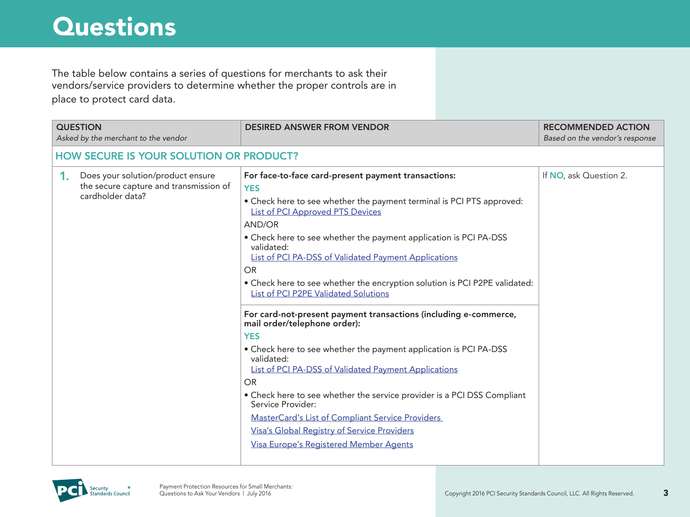The table below contains a series of questions for merchants to ask their vendors/service providers to determine whether the proper controls are in place to protect card data.

| <b>QUESTION</b><br>Asked by the merchant to the vendor                                                | <b>DESIRED ANSWER FROM VENDOR</b>                                                                                                                                                                                                                                                                                                                                                                                                                                                                                                                                                                                                                                                                                                                                                                                                                                                                                                                                                                                                       | <b>RECOMMENDED ACTION</b><br>Based on the vendor's response |
|-------------------------------------------------------------------------------------------------------|-----------------------------------------------------------------------------------------------------------------------------------------------------------------------------------------------------------------------------------------------------------------------------------------------------------------------------------------------------------------------------------------------------------------------------------------------------------------------------------------------------------------------------------------------------------------------------------------------------------------------------------------------------------------------------------------------------------------------------------------------------------------------------------------------------------------------------------------------------------------------------------------------------------------------------------------------------------------------------------------------------------------------------------------|-------------------------------------------------------------|
| <b>HOW SECURE IS YOUR SOLUTION OR PRODUCT?</b>                                                        |                                                                                                                                                                                                                                                                                                                                                                                                                                                                                                                                                                                                                                                                                                                                                                                                                                                                                                                                                                                                                                         |                                                             |
| Does your solution/product ensure<br>1.<br>the secure capture and transmission of<br>cardholder data? | For face-to-face card-present payment transactions:<br><b>YES</b><br>• Check here to see whether the payment terminal is PCI PTS approved:<br><b>List of PCI Approved PTS Devices</b><br><b>AND/OR</b><br>• Check here to see whether the payment application is PCI PA-DSS<br>validated:<br><b>List of PCI PA-DSS of Validated Payment Applications</b><br><b>OR</b><br>• Check here to see whether the encryption solution is PCI P2PE validated:<br>List of PCI P2PE Validated Solutions<br>For card-not-present payment transactions (including e-commerce,<br>mail order/telephone order):<br><b>YES</b><br>• Check here to see whether the payment application is PCI PA-DSS<br>validated:<br><b>List of PCI PA-DSS of Validated Payment Applications</b><br><b>OR</b><br>• Check here to see whether the service provider is a PCI DSS Compliant<br>Service Provider:<br><b>MasterCard's List of Compliant Service Providers</b><br><b>Visa's Global Registry of Service Providers</b><br>Visa Europe's Registered Member Agents | If NO, ask Question 2.                                      |

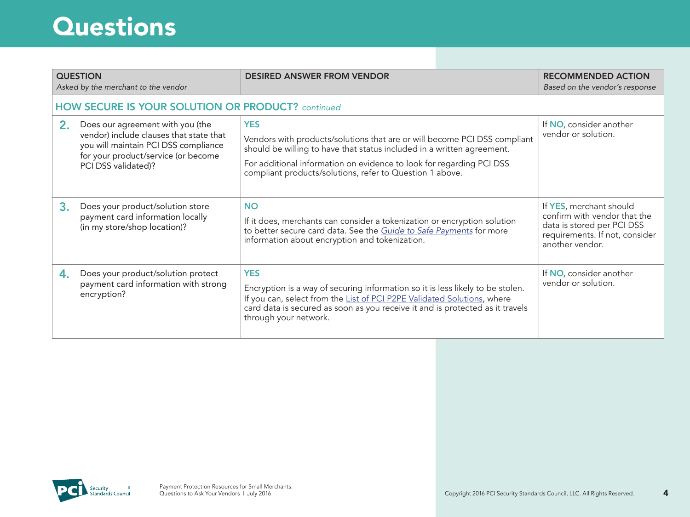| <b>QUESTION</b><br>Asked by the merchant to the vendor |                                                                                                                                                                                   | <b>DESIRED ANSWER FROM VENDOR</b>                                                                                                                                                                                                                                                                     | <b>RECOMMENDED ACTION</b><br>Based on the vendor's response                                                                                |
|--------------------------------------------------------|-----------------------------------------------------------------------------------------------------------------------------------------------------------------------------------|-------------------------------------------------------------------------------------------------------------------------------------------------------------------------------------------------------------------------------------------------------------------------------------------------------|--------------------------------------------------------------------------------------------------------------------------------------------|
|                                                        | <b>HOW SECURE IS YOUR SOLUTION OR PRODUCT?</b> continued                                                                                                                          |                                                                                                                                                                                                                                                                                                       |                                                                                                                                            |
| 2.                                                     | Does our agreement with you (the<br>vendor) include clauses that state that<br>you will maintain PCI DSS compliance<br>for your product/service (or become<br>PCI DSS validated)? | <b>YES</b><br>Vendors with products/solutions that are or will become PCI DSS compliant<br>should be willing to have that status included in a written agreement.<br>For additional information on evidence to look for regarding PCI DSS<br>compliant products/solutions, refer to Question 1 above. | If NO, consider another<br>vendor or solution.                                                                                             |
| 3.                                                     | Does your product/solution store<br>payment card information locally<br>(in my store/shop location)?                                                                              | <b>NO</b><br>If it does, merchants can consider a tokenization or encryption solution<br>to better secure card data. See the Guide to Safe Payments for more<br>information about encryption and tokenization.                                                                                        | If YES, merchant should<br>confirm with vendor that the<br>data is stored per PCI DSS<br>requirements. If not, consider<br>another vendor. |
| 4.                                                     | Does your product/solution protect<br>payment card information with strong<br>encryption?                                                                                         | <b>YES</b><br>Encryption is a way of securing information so it is less likely to be stolen.<br>If you can, select from the List of PCI P2PE Validated Solutions, where<br>card data is secured as soon as you receive it and is protected as it travels<br>through your network.                     | If NO, consider another<br>vendor or solution.                                                                                             |

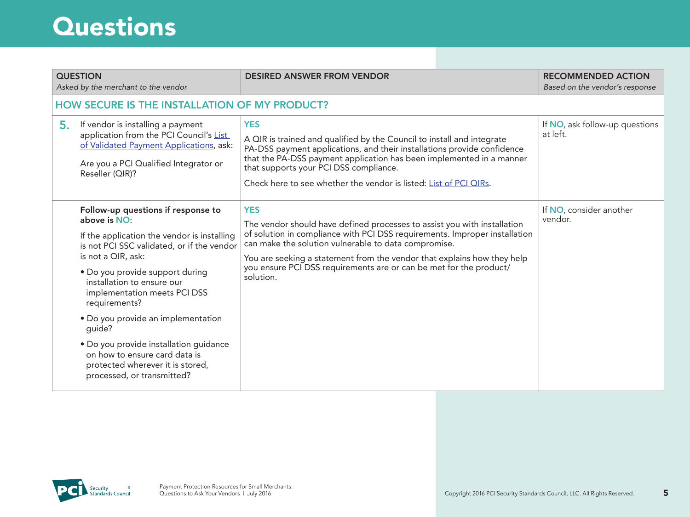| 5. | <b>QUESTION</b><br>Asked by the merchant to the vendor<br>HOW SECURE IS THE INSTALLATION OF MY PRODUCT?<br>If vendor is installing a payment<br>application from the PCI Council's List<br>of Validated Payment Applications, ask:<br>Are you a PCI Qualified Integrator or             | <b>DESIRED ANSWER FROM VENDOR</b><br><b>YES</b><br>A QIR is trained and qualified by the Council to install and integrate<br>PA-DSS payment applications, and their installations provide confidence<br>that the PA-DSS payment application has been implemented in a manner                                                                                                               | <b>RECOMMENDED ACTION</b><br>Based on the vendor's response<br>If NO, ask follow-up questions<br>at left. |
|----|-----------------------------------------------------------------------------------------------------------------------------------------------------------------------------------------------------------------------------------------------------------------------------------------|--------------------------------------------------------------------------------------------------------------------------------------------------------------------------------------------------------------------------------------------------------------------------------------------------------------------------------------------------------------------------------------------|-----------------------------------------------------------------------------------------------------------|
|    | Reseller (QIR)?                                                                                                                                                                                                                                                                         | that supports your PCI DSS compliance.<br>Check here to see whether the vendor is listed: List of PCI QIRs.                                                                                                                                                                                                                                                                                |                                                                                                           |
|    | Follow-up questions if response to<br>above is NO:<br>If the application the vendor is installing<br>is not PCI SSC validated, or if the vendor<br>is not a QIR, ask:<br>• Do you provide support during<br>installation to ensure our<br>implementation meets PCI DSS<br>requirements? | <b>YES</b><br>The vendor should have defined processes to assist you with installation<br>of solution in compliance with PCI DSS requirements. Improper installation<br>can make the solution vulnerable to data compromise.<br>You are seeking a statement from the vendor that explains how they help<br>you ensure PCI DSS requirements are or can be met for the product/<br>solution. | If NO, consider another<br>vendor.                                                                        |
|    | • Do you provide an implementation<br>quide?<br>· Do you provide installation guidance<br>on how to ensure card data is<br>protected wherever it is stored,<br>processed, or transmitted?                                                                                               |                                                                                                                                                                                                                                                                                                                                                                                            |                                                                                                           |

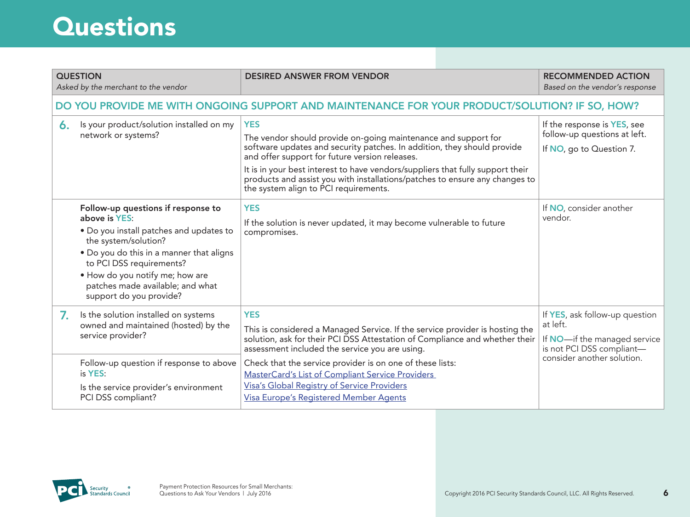|              | <b>QUESTION</b><br>Asked by the merchant to the vendor                                                                                                                                                                                                                                           | <b>DESIRED ANSWER FROM VENDOR</b>                                                                                                                                                                                                                                                                                                                                                                                                     | <b>RECOMMENDED ACTION</b><br>Based on the vendor's response                                                                           |  |
|--------------|--------------------------------------------------------------------------------------------------------------------------------------------------------------------------------------------------------------------------------------------------------------------------------------------------|---------------------------------------------------------------------------------------------------------------------------------------------------------------------------------------------------------------------------------------------------------------------------------------------------------------------------------------------------------------------------------------------------------------------------------------|---------------------------------------------------------------------------------------------------------------------------------------|--|
|              | DO YOU PROVIDE ME WITH ONGOING SUPPORT AND MAINTENANCE FOR YOUR PRODUCT/SOLUTION? IF SO, HOW?                                                                                                                                                                                                    |                                                                                                                                                                                                                                                                                                                                                                                                                                       |                                                                                                                                       |  |
| $\mathbf{6}$ | Is your product/solution installed on my<br>network or systems?                                                                                                                                                                                                                                  | <b>YES</b><br>The vendor should provide on-going maintenance and support for<br>software updates and security patches. In addition, they should provide<br>and offer support for future version releases.<br>It is in your best interest to have vendors/suppliers that fully support their<br>products and assist you with installations/patches to ensure any changes to<br>the system align to PCI requirements.                   | If the response is YES, see<br>follow-up questions at left.<br>If NO, go to Question 7.                                               |  |
|              | Follow-up questions if response to<br>above is YES:<br>. Do you install patches and updates to<br>the system/solution?<br>. Do you do this in a manner that aligns<br>to PCI DSS requirements?<br>. How do you notify me; how are<br>patches made available; and what<br>support do you provide? | <b>YES</b><br>If the solution is never updated, it may become vulnerable to future<br>compromises.                                                                                                                                                                                                                                                                                                                                    | If NO, consider another<br>vendor.                                                                                                    |  |
| 7.           | Is the solution installed on systems<br>owned and maintained (hosted) by the<br>service provider?<br>Follow-up question if response to above<br>is YES:<br>Is the service provider's environment<br>PCI DSS compliant?                                                                           | <b>YES</b><br>This is considered a Managed Service. If the service provider is hosting the<br>solution, ask for their PCI DSS Attestation of Compliance and whether their<br>assessment included the service you are using.<br>Check that the service provider is on one of these lists:<br>MasterCard's List of Compliant Service Providers<br>Visa's Global Registry of Service Providers<br>Visa Europe's Registered Member Agents | If YES, ask follow-up question<br>at left.<br>If NO-if the managed service<br>is not PCI DSS compliant-<br>consider another solution. |  |

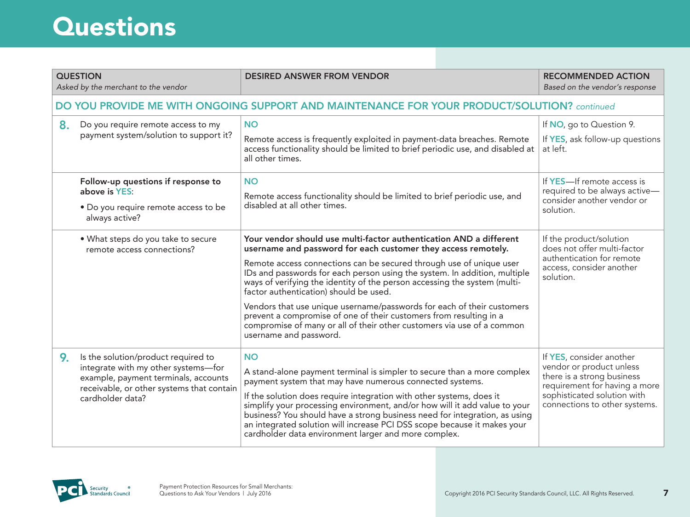|                                                                                             | <b>QUESTION</b><br>Asked by the merchant to the vendor                                                                                                                              | <b>DESIRED ANSWER FROM VENDOR</b>                                                                                                                                                                                                                                                                                                                                                                                                                                                                                                                                                                                                                                  | <b>RECOMMENDED ACTION</b><br>Based on the vendor's response                                                                                                                         |
|---------------------------------------------------------------------------------------------|-------------------------------------------------------------------------------------------------------------------------------------------------------------------------------------|--------------------------------------------------------------------------------------------------------------------------------------------------------------------------------------------------------------------------------------------------------------------------------------------------------------------------------------------------------------------------------------------------------------------------------------------------------------------------------------------------------------------------------------------------------------------------------------------------------------------------------------------------------------------|-------------------------------------------------------------------------------------------------------------------------------------------------------------------------------------|
| DO YOU PROVIDE ME WITH ONGOING SUPPORT AND MAINTENANCE FOR YOUR PRODUCT/SOLUTION? continued |                                                                                                                                                                                     |                                                                                                                                                                                                                                                                                                                                                                                                                                                                                                                                                                                                                                                                    |                                                                                                                                                                                     |
| 8 <sub>1</sub>                                                                              | Do you require remote access to my<br>payment system/solution to support it?                                                                                                        | <b>NO</b><br>Remote access is frequently exploited in payment-data breaches. Remote<br>access functionality should be limited to brief periodic use, and disabled at<br>all other times.                                                                                                                                                                                                                                                                                                                                                                                                                                                                           | If NO, go to Question 9.<br>If YES, ask follow-up questions<br>at left.                                                                                                             |
|                                                                                             | Follow-up questions if response to<br>above is YES:<br>• Do you require remote access to be<br>always active?                                                                       | <b>NO</b><br>Remote access functionality should be limited to brief periodic use, and<br>disabled at all other times.                                                                                                                                                                                                                                                                                                                                                                                                                                                                                                                                              | If YES-If remote access is<br>required to be always active-<br>consider another vendor or<br>solution.                                                                              |
|                                                                                             | . What steps do you take to secure<br>remote access connections?                                                                                                                    | Your vendor should use multi-factor authentication AND a different<br>username and password for each customer they access remotely.<br>Remote access connections can be secured through use of unique user<br>IDs and passwords for each person using the system. In addition, multiple<br>ways of verifying the identity of the person accessing the system (multi-<br>factor authentication) should be used.<br>Vendors that use unique username/passwords for each of their customers<br>prevent a compromise of one of their customers from resulting in a<br>compromise of many or all of their other customers via use of a common<br>username and password. | If the product/solution<br>does not offer multi-factor<br>authentication for remote<br>access, consider another<br>solution.                                                        |
| 9.                                                                                          | Is the solution/product required to<br>integrate with my other systems-for<br>example, payment terminals, accounts<br>receivable, or other systems that contain<br>cardholder data? | <b>NO</b><br>A stand-alone payment terminal is simpler to secure than a more complex<br>payment system that may have numerous connected systems.<br>If the solution does require integration with other systems, does it<br>simplify your processing environment, and/or how will it add value to your<br>business? You should have a strong business need for integration, as using<br>an integrated solution will increase PCI DSS scope because it makes your<br>cardholder data environment larger and more complex.                                                                                                                                           | If YES, consider another<br>vendor or product unless<br>there is a strong business<br>requirement for having a more<br>sophisticated solution with<br>connections to other systems. |